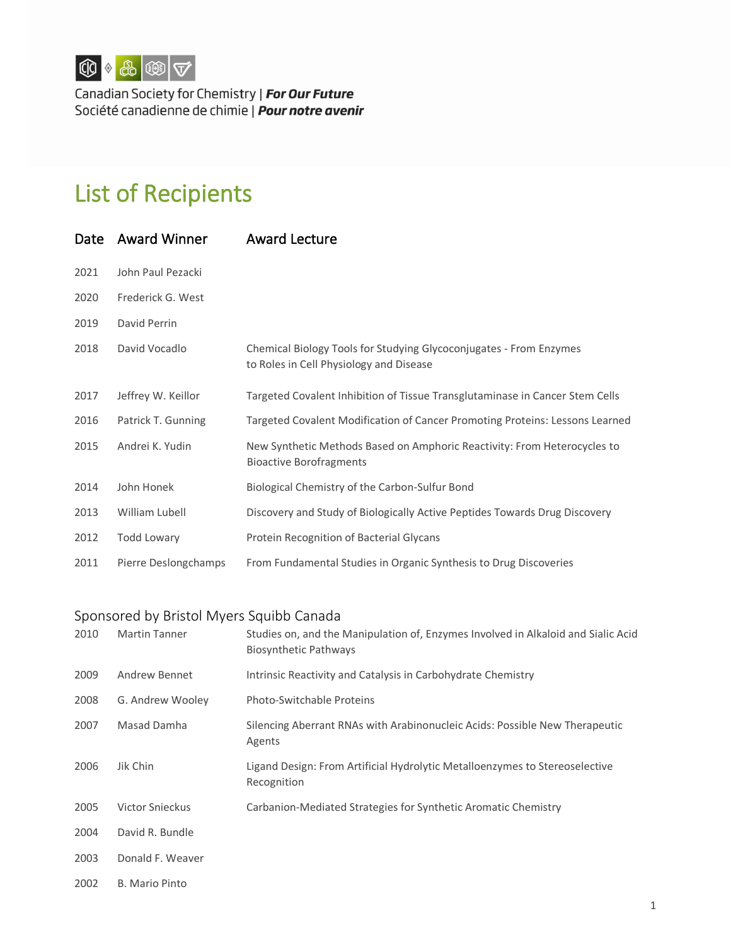

Canadian Society for Chemistry | For Our Future Société canadienne de chimie | Pour notre avenir

## List of Recipients

| Date | <b>Award Winner</b>  | <b>Award Lecture</b>                                                                                          |
|------|----------------------|---------------------------------------------------------------------------------------------------------------|
| 2021 | John Paul Pezacki    |                                                                                                               |
| 2020 | Frederick G. West    |                                                                                                               |
| 2019 | David Perrin         |                                                                                                               |
| 2018 | David Vocadlo        | Chemical Biology Tools for Studying Glycoconjugates - From Enzymes<br>to Roles in Cell Physiology and Disease |
| 2017 | Jeffrey W. Keillor   | Targeted Covalent Inhibition of Tissue Transglutaminase in Cancer Stem Cells                                  |
| 2016 | Patrick T. Gunning   | Targeted Covalent Modification of Cancer Promoting Proteins: Lessons Learned                                  |
| 2015 | Andrei K. Yudin      | New Synthetic Methods Based on Amphoric Reactivity: From Heterocycles to<br><b>Bioactive Borofragments</b>    |
| 2014 | John Honek           | Biological Chemistry of the Carbon-Sulfur Bond                                                                |
| 2013 | William Lubell       | Discovery and Study of Biologically Active Peptides Towards Drug Discovery                                    |
| 2012 | <b>Todd Lowary</b>   | Protein Recognition of Bacterial Glycans                                                                      |
| 2011 | Pierre Deslongchamps | From Fundamental Studies in Organic Synthesis to Drug Discoveries                                             |

## Sponsored by Bristol Myers Squibb Canada

| 2010 | <b>Martin Tanner</b>   | Studies on, and the Manipulation of, Enzymes Involved in Alkaloid and Sialic Acid<br><b>Biosynthetic Pathways</b> |
|------|------------------------|-------------------------------------------------------------------------------------------------------------------|
| 2009 | Andrew Bennet          | Intrinsic Reactivity and Catalysis in Carbohydrate Chemistry                                                      |
| 2008 | G. Andrew Wooley       | <b>Photo-Switchable Proteins</b>                                                                                  |
| 2007 | Masad Damha            | Silencing Aberrant RNAs with Arabinonucleic Acids: Possible New Therapeutic<br>Agents                             |
| 2006 | Jik Chin               | Ligand Design: From Artificial Hydrolytic Metalloenzymes to Stereoselective<br>Recognition                        |
| 2005 | <b>Victor Snieckus</b> | Carbanion-Mediated Strategies for Synthetic Aromatic Chemistry                                                    |
| 2004 | David R. Bundle        |                                                                                                                   |
| 2003 | Donald F. Weaver       |                                                                                                                   |
| 2002 | B. Mario Pinto         |                                                                                                                   |